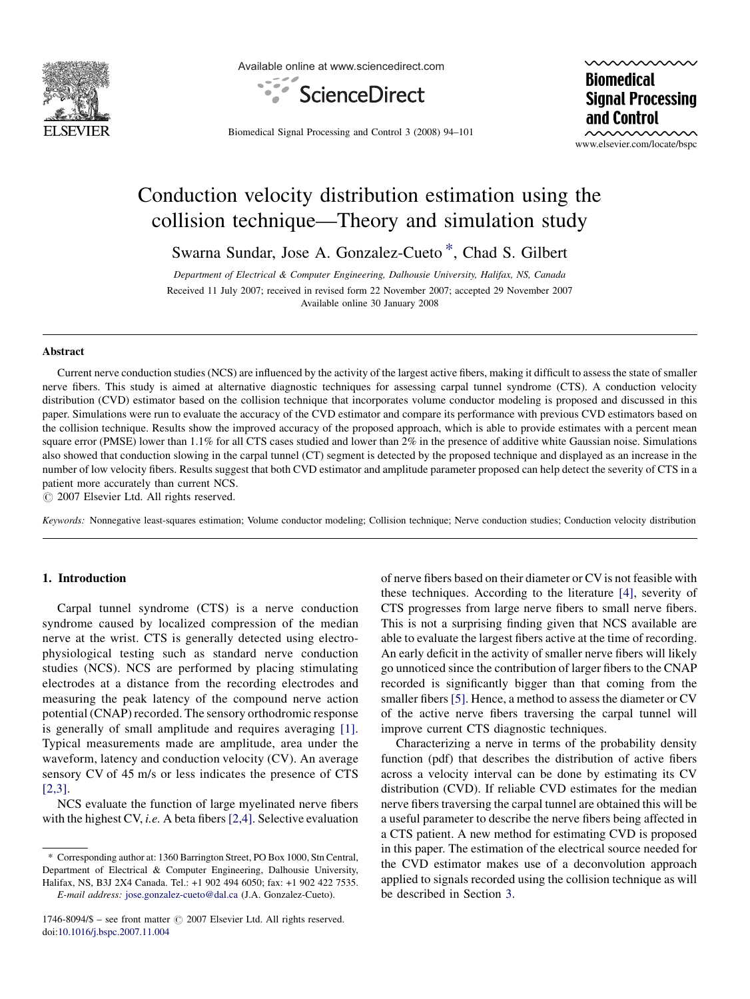

Available online at www.sciencedirect.com



**Biomedical Signal Processing** and Control

Biomedical Signal Processing and Control 3 (2008) 94–101

www.elsevier.com/locate/bspc

## Conduction velocity distribution estimation using the collision technique—Theory and simulation study

Swarna Sundar, Jose A. Gonzalez-Cueto \*, Chad S. Gilbert

Department of Electrical & Computer Engineering, Dalhousie University, Halifax, NS, Canada Received 11 July 2007; received in revised form 22 November 2007; accepted 29 November 2007 Available online 30 January 2008

#### Abstract

Current nerve conduction studies (NCS) are influenced by the activity of the largest active fibers, making it difficult to assess the state of smaller nerve fibers. This study is aimed at alternative diagnostic techniques for assessing carpal tunnel syndrome (CTS). A conduction velocity distribution (CVD) estimator based on the collision technique that incorporates volume conductor modeling is proposed and discussed in this paper. Simulations were run to evaluate the accuracy of the CVD estimator and compare its performance with previous CVD estimators based on the collision technique. Results show the improved accuracy of the proposed approach, which is able to provide estimates with a percent mean square error (PMSE) lower than 1.1% for all CTS cases studied and lower than 2% in the presence of additive white Gaussian noise. Simulations also showed that conduction slowing in the carpal tunnel (CT) segment is detected by the proposed technique and displayed as an increase in the number of low velocity fibers. Results suggest that both CVD estimator and amplitude parameter proposed can help detect the severity of CTS in a patient more accurately than current NCS.

 $\odot$  2007 Elsevier Ltd. All rights reserved.

Keywords: Nonnegative least-squares estimation; Volume conductor modeling; Collision technique; Nerve conduction studies; Conduction velocity distribution

## 1. Introduction

Carpal tunnel syndrome (CTS) is a nerve conduction syndrome caused by localized compression of the median nerve at the wrist. CTS is generally detected using electrophysiological testing such as standard nerve conduction studies (NCS). NCS are performed by placing stimulating electrodes at a distance from the recording electrodes and measuring the peak latency of the compound nerve action potential (CNAP) recorded. The sensory orthodromic response is generally of small amplitude and requires averaging [\[1\]](#page--1-0). Typical measurements made are amplitude, area under the waveform, latency and conduction velocity (CV). An average sensory CV of 45 m/s or less indicates the presence of CTS [\[2,3\]](#page--1-0).

NCS evaluate the function of large myelinated nerve fibers with the highest CV, *i.e.* A beta fibers  $[2,4]$ . Selective evaluation of nerve fibers based on their diameter or CV is not feasible with these techniques. According to the literature [\[4\]](#page--1-0), severity of CTS progresses from large nerve fibers to small nerve fibers. This is not a surprising finding given that NCS available are able to evaluate the largest fibers active at the time of recording. An early deficit in the activity of smaller nerve fibers will likely go unnoticed since the contribution of larger fibers to the CNAP recorded is significantly bigger than that coming from the smaller fibers [\[5\].](#page--1-0) Hence, a method to assess the diameter or CV of the active nerve fibers traversing the carpal tunnel will improve current CTS diagnostic techniques.

Characterizing a nerve in terms of the probability density function (pdf) that describes the distribution of active fibers across a velocity interval can be done by estimating its CV distribution (CVD). If reliable CVD estimates for the median nerve fibers traversing the carpal tunnel are obtained this will be a useful parameter to describe the nerve fibers being affected in a CTS patient. A new method for estimating CVD is proposed in this paper. The estimation of the electrical source needed for the CVD estimator makes use of a deconvolution approach applied to signals recorded using the collision technique as will be described in Section [3.](#page-1-0)

<sup>\*</sup> Corresponding author at: 1360 Barrington Street, PO Box 1000, Stn Central, Department of Electrical & Computer Engineering, Dalhousie University, Halifax, NS, B3J 2X4 Canada. Tel.: +1 902 494 6050; fax: +1 902 422 7535. E-mail address: [jose.gonzalez-cueto@dal.ca](mailto:jose.gonzalez-cueto@dal.ca) (J.A. Gonzalez-Cueto).

<sup>1746-8094/\$ –</sup> see front matter  $\odot$  2007 Elsevier Ltd. All rights reserved. doi[:10.1016/j.bspc.2007.11.004](http://dx.doi.org/10.1016/j.bspc.2007.11.004)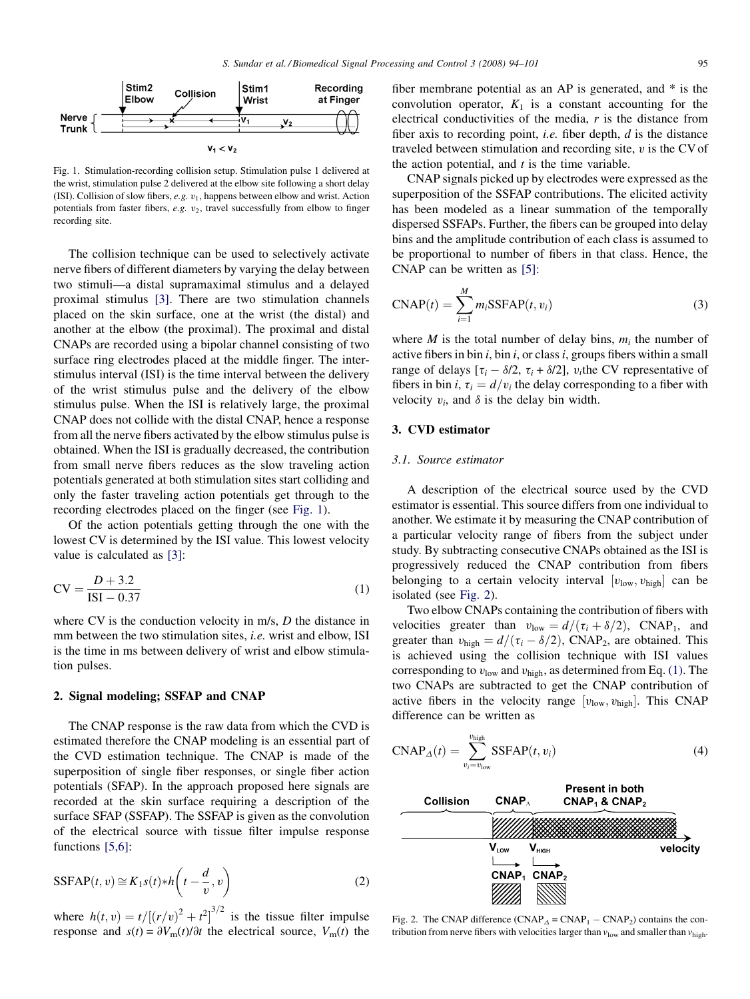<span id="page-1-0"></span>

Fig. 1. Stimulation-recording collision setup. Stimulation pulse 1 delivered at the wrist, stimulation pulse 2 delivered at the elbow site following a short delay (ISI). Collision of slow fibers,  $e.g. v_1$ , happens between elbow and wrist. Action potentials from faster fibers,  $e.g.$   $v_2$ , travel successfully from elbow to finger recording site.

The collision technique can be used to selectively activate nerve fibers of different diameters by varying the delay between two stimuli—a distal supramaximal stimulus and a delayed proximal stimulus [\[3\].](#page--1-0) There are two stimulation channels placed on the skin surface, one at the wrist (the distal) and another at the elbow (the proximal). The proximal and distal CNAPs are recorded using a bipolar channel consisting of two surface ring electrodes placed at the middle finger. The interstimulus interval (ISI) is the time interval between the delivery of the wrist stimulus pulse and the delivery of the elbow stimulus pulse. When the ISI is relatively large, the proximal CNAP does not collide with the distal CNAP, hence a response from all the nerve fibers activated by the elbow stimulus pulse is obtained. When the ISI is gradually decreased, the contribution from small nerve fibers reduces as the slow traveling action potentials generated at both stimulation sites start colliding and only the faster traveling action potentials get through to the recording electrodes placed on the finger (see Fig. 1).

Of the action potentials getting through the one with the lowest CV is determined by the ISI value. This lowest velocity value is calculated as [\[3\]:](#page--1-0)

$$
CV = \frac{D + 3.2}{ISI - 0.37}
$$
 (1)

where CV is the conduction velocity in m/s, D the distance in mm between the two stimulation sites, *i.e.* wrist and elbow, ISI is the time in ms between delivery of wrist and elbow stimulation pulses.

#### 2. Signal modeling; SSFAP and CNAP

The CNAP response is the raw data from which the CVD is estimated therefore the CNAP modeling is an essential part of the CVD estimation technique. The CNAP is made of the superposition of single fiber responses, or single fiber action potentials (SFAP). In the approach proposed here signals are recorded at the skin surface requiring a description of the surface SFAP (SSFAP). The SSFAP is given as the convolution of the electrical source with tissue filter impulse response functions [\[5,6\]](#page--1-0):

$$
SSFAP(t, v) \cong K_1 s(t) * h\left(t - \frac{d}{v}, v\right)
$$
\n(2)

where  $h(t, v) = t/[(r/v)^2 + t^2]^{3/2}$  is the tissue filter impulse response and  $s(t) = \partial V_{\text{m}}(t)/\partial t$  the electrical source,  $V_{\text{m}}(t)$  the fiber membrane potential as an AP is generated, and \* is the convolution operator,  $K_1$  is a constant accounting for the electrical conductivities of the media,  $r$  is the distance from fiber axis to recording point, *i.e.* fiber depth,  $d$  is the distance traveled between stimulation and recording site,  $v$  is the CV of the action potential, and  $t$  is the time variable.

CNAP signals picked up by electrodes were expressed as the superposition of the SSFAP contributions. The elicited activity has been modeled as a linear summation of the temporally dispersed SSFAPs. Further, the fibers can be grouped into delay bins and the amplitude contribution of each class is assumed to be proportional to number of fibers in that class. Hence, the CNAP can be written as [\[5\]:](#page--1-0)

$$
CNAP(t) = \sum_{i=1}^{M} m_i \text{SSFAP}(t, v_i)
$$
 (3)

where M is the total number of delay bins,  $m_i$  the number of active fibers in bin  $i$ , bin  $i$ , or class  $i$ , groups fibers within a small range of delays  $[\tau_i - \delta/2, \tau_i + \delta/2]$ ,  $v_i$ the CV representative of fibers in bin i,  $\tau_i = d/v_i$  the delay corresponding to a fiber with velocity  $v_i$ , and  $\delta$  is the delay bin width.

## 3. CVD estimator

## 3.1. Source estimator

A description of the electrical source used by the CVD estimator is essential. This source differs from one individual to another. We estimate it by measuring the CNAP contribution of a particular velocity range of fibers from the subject under study. By subtracting consecutive CNAPs obtained as the ISI is progressively reduced the CNAP contribution from fibers belonging to a certain velocity interval  $[v_{low}, v_{high}]$  can be isolated (see Fig. 2).

Two elbow CNAPs containing the contribution of fibers with velocities greater than  $v_{\text{low}} = d/(\tau_i + \delta/2)$ , CNAP<sub>1</sub>, and greater than  $v_{\text{high}} = d/(\tau_i - \delta/2)$ , CNAP<sub>2</sub>, are obtained. This is achieved using the collision technique with ISI values corresponding to  $v_{\text{low}}$  and  $v_{\text{high}}$ , as determined from Eq. (1). The two CNAPs are subtracted to get the CNAP contribution of active fibers in the velocity range  $[v_{\text{low}}, v_{\text{high}}]$ . This CNAP difference can be written as

$$
CNAP_{\Delta}(t) = \sum_{v_i = v_{\text{low}}}^{\frac{v_{\text{high}}}{\sum_{i} v_{\text{low}}}} \text{SSFAP}(t, v_i)
$$
\n(4)



Fig. 2. The CNAP difference  $(CNAP<sub>\Delta</sub> = CNAP<sub>1</sub> - CNAP<sub>2</sub>)$  contains the contribution from nerve fibers with velocities larger than  $v_{\text{low}}$  and smaller than  $v_{\text{high}}$ .